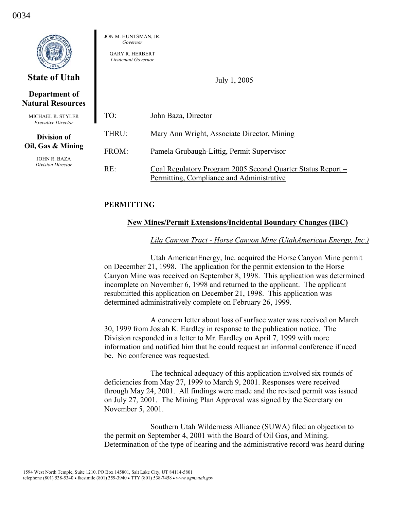|                                                                      | JON M. HUNTSMAN, JR.<br>Governor<br><b>GARY R. HERBERT</b><br>Lieutenant Governor |                                                                                                          |  |  |  |
|----------------------------------------------------------------------|-----------------------------------------------------------------------------------|----------------------------------------------------------------------------------------------------------|--|--|--|
| <b>State of Utah</b>                                                 | July 1, 2005                                                                      |                                                                                                          |  |  |  |
| Department of<br><b>Natural Resources</b>                            |                                                                                   |                                                                                                          |  |  |  |
| <b>MICHAEL R. STYLER</b><br><b>Executive Director</b>                | TO:                                                                               | John Baza, Director                                                                                      |  |  |  |
| <b>Division of</b>                                                   | THRU:                                                                             | Mary Ann Wright, Associate Director, Mining                                                              |  |  |  |
| Oil, Gas & Mining<br><b>JOHN R. BAZA</b><br><b>Division Director</b> | FROM:                                                                             | Pamela Grubaugh-Littig, Permit Supervisor                                                                |  |  |  |
|                                                                      | RE:                                                                               | Coal Regulatory Program 2005 Second Quarter Status Report –<br>Permitting, Compliance and Administrative |  |  |  |

# **PERMITTING**

# **New Mines/Permit Extensions/Incidental Boundary Changes (IBC)**

### *Lila Canyon Tract - Horse Canyon Mine (UtahAmerican Energy, Inc.)*

 Utah AmericanEnergy, Inc. acquired the Horse Canyon Mine permit on December 21, 1998. The application for the permit extension to the Horse Canyon Mine was received on September 8, 1998. This application was determined incomplete on November 6, 1998 and returned to the applicant. The applicant resubmitted this application on December 21, 1998. This application was determined administratively complete on February 26, 1999.

 A concern letter about loss of surface water was received on March 30, 1999 from Josiah K. Eardley in response to the publication notice. The Division responded in a letter to Mr. Eardley on April 7, 1999 with more information and notified him that he could request an informal conference if need be. No conference was requested.

 The technical adequacy of this application involved six rounds of deficiencies from May 27, 1999 to March 9, 2001. Responses were received through May 24, 2001. All findings were made and the revised permit was issued on July 27, 2001. The Mining Plan Approval was signed by the Secretary on November 5, 2001.

 Southern Utah Wilderness Alliance (SUWA) filed an objection to the permit on September 4, 2001 with the Board of Oil Gas, and Mining. Determination of the type of hearing and the administrative record was heard during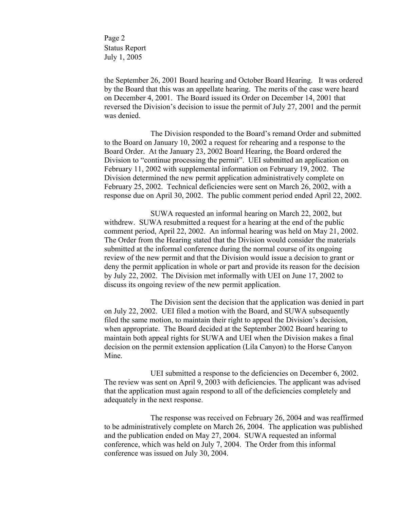Page 2 Status Report July 1, 2005

the September 26, 2001 Board hearing and October Board Hearing. It was ordered by the Board that this was an appellate hearing. The merits of the case were heard on December 4, 2001. The Board issued its Order on December 14, 2001 that reversed the Division's decision to issue the permit of July 27, 2001 and the permit was denied.

 The Division responded to the Board's remand Order and submitted to the Board on January 10, 2002 a request for rehearing and a response to the Board Order. At the January 23, 2002 Board Hearing, the Board ordered the Division to "continue processing the permit". UEI submitted an application on February 11, 2002 with supplemental information on February 19, 2002. The Division determined the new permit application administratively complete on February 25, 2002. Technical deficiencies were sent on March 26, 2002, with a response due on April 30, 2002. The public comment period ended April 22, 2002.

 SUWA requested an informal hearing on March 22, 2002, but withdrew. SUWA resubmitted a request for a hearing at the end of the public comment period, April 22, 2002. An informal hearing was held on May 21, 2002. The Order from the Hearing stated that the Division would consider the materials submitted at the informal conference during the normal course of its ongoing review of the new permit and that the Division would issue a decision to grant or deny the permit application in whole or part and provide its reason for the decision by July 22, 2002. The Division met informally with UEI on June 17, 2002 to discuss its ongoing review of the new permit application.

 The Division sent the decision that the application was denied in part on July 22, 2002. UEI filed a motion with the Board, and SUWA subsequently filed the same motion, to maintain their right to appeal the Division's decision, when appropriate. The Board decided at the September 2002 Board hearing to maintain both appeal rights for SUWA and UEI when the Division makes a final decision on the permit extension application (Lila Canyon) to the Horse Canyon Mine.

 UEI submitted a response to the deficiencies on December 6, 2002. The review was sent on April 9, 2003 with deficiencies. The applicant was advised that the application must again respond to all of the deficiencies completely and adequately in the next response.

 The response was received on February 26, 2004 and was reaffirmed to be administratively complete on March 26, 2004. The application was published and the publication ended on May 27, 2004. SUWA requested an informal conference, which was held on July 7, 2004. The Order from this informal conference was issued on July 30, 2004.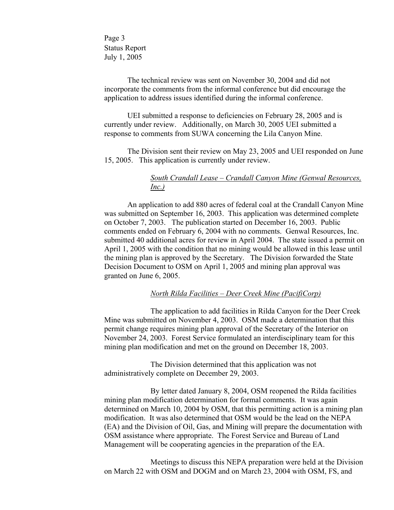Page 3 Status Report July 1, 2005

The technical review was sent on November 30, 2004 and did not incorporate the comments from the informal conference but did encourage the application to address issues identified during the informal conference.

UEI submitted a response to deficiencies on February 28, 2005 and is currently under review. Additionally, on March 30, 2005 UEI submitted a response to comments from SUWA concerning the Lila Canyon Mine.

The Division sent their review on May 23, 2005 and UEI responded on June 15, 2005. This application is currently under review.

# *South Crandall Lease – Crandall Canyon Mine (Genwal Resources, Inc.)*

 An application to add 880 acres of federal coal at the Crandall Canyon Mine was submitted on September 16, 2003. This application was determined complete on October 7, 2003. The publication started on December 16, 2003. Public comments ended on February 6, 2004 with no comments. Genwal Resources, Inc. submitted 40 additional acres for review in April 2004. The state issued a permit on April 1, 2005 with the condition that no mining would be allowed in this lease until the mining plan is approved by the Secretary. The Division forwarded the State Decision Document to OSM on April 1, 2005 and mining plan approval was granted on June 6, 2005.

# *North Rilda Facilities – Deer Creek Mine (PacifiCorp)*

 The application to add facilities in Rilda Canyon for the Deer Creek Mine was submitted on November 4, 2003. OSM made a determination that this permit change requires mining plan approval of the Secretary of the Interior on November 24, 2003. Forest Service formulated an interdisciplinary team for this mining plan modification and met on the ground on December 18, 2003.

The Division determined that this application was not administratively complete on December 29, 2003.

By letter dated January 8, 2004, OSM reopened the Rilda facilities mining plan modification determination for formal comments. It was again determined on March 10, 2004 by OSM, that this permitting action is a mining plan modification. It was also determined that OSM would be the lead on the NEPA (EA) and the Division of Oil, Gas, and Mining will prepare the documentation with OSM assistance where appropriate. The Forest Service and Bureau of Land Management will be cooperating agencies in the preparation of the EA.

Meetings to discuss this NEPA preparation were held at the Division on March 22 with OSM and DOGM and on March 23, 2004 with OSM, FS, and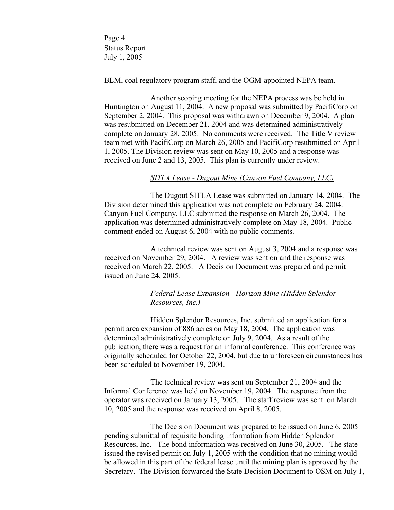Page 4 Status Report July 1, 2005

BLM, coal regulatory program staff, and the OGM-appointed NEPA team.

 Another scoping meeting for the NEPA process was be held in Huntington on August 11, 2004. A new proposal was submitted by PacifiCorp on September 2, 2004. This proposal was withdrawn on December 9, 2004. A plan was resubmitted on December 21, 2004 and was determined administratively complete on January 28, 2005. No comments were received. The Title V review team met with PacifiCorp on March 26, 2005 and PacifiCorp resubmitted on April 1, 2005. The Division review was sent on May 10, 2005 and a response was received on June 2 and 13, 2005. This plan is currently under review.

### *SITLA Lease - Dugout Mine (Canyon Fuel Company, LLC)*

The Dugout SITLA Lease was submitted on January 14, 2004. The Division determined this application was not complete on February 24, 2004. Canyon Fuel Company, LLC submitted the response on March 26, 2004. The application was determined administratively complete on May 18, 2004. Public comment ended on August 6, 2004 with no public comments.

A technical review was sent on August 3, 2004 and a response was received on November 29, 2004. A review was sent on and the response was received on March 22, 2005. A Decision Document was prepared and permit issued on June 24, 2005.

# *Federal Lease Expansion - Horizon Mine (Hidden Splendor Resources, Inc.)*

Hidden Splendor Resources, Inc. submitted an application for a permit area expansion of 886 acres on May 18, 2004. The application was determined administratively complete on July 9, 2004. As a result of the publication, there was a request for an informal conference. This conference was originally scheduled for October 22, 2004, but due to unforeseen circumstances has been scheduled to November 19, 2004.

The technical review was sent on September 21, 2004 and the Informal Conference was held on November 19, 2004. The response from the operator was received on January 13, 2005. The staff review was sent on March 10, 2005 and the response was received on April 8, 2005.

The Decision Document was prepared to be issued on June 6, 2005 pending submittal of requisite bonding information from Hidden Splendor Resources, Inc. The bond information was received on June 30, 2005. The state issued the revised permit on July 1, 2005 with the condition that no mining would be allowed in this part of the federal lease until the mining plan is approved by the Secretary. The Division forwarded the State Decision Document to OSM on July 1,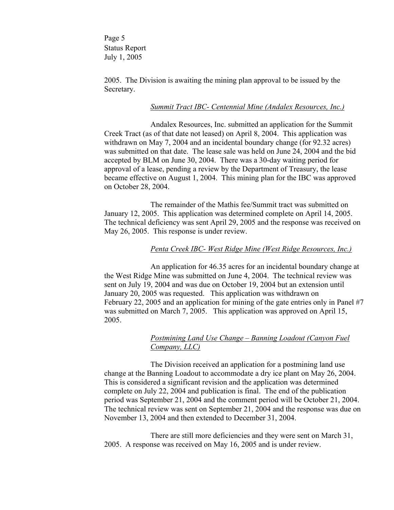Page 5 Status Report July 1, 2005

2005. The Division is awaiting the mining plan approval to be issued by the Secretary.

### *Summit Tract IBC- Centennial Mine (Andalex Resources, Inc.)*

Andalex Resources, Inc. submitted an application for the Summit Creek Tract (as of that date not leased) on April 8, 2004. This application was withdrawn on May 7, 2004 and an incidental boundary change (for 92.32 acres) was submitted on that date. The lease sale was held on June 24, 2004 and the bid accepted by BLM on June 30, 2004. There was a 30-day waiting period for approval of a lease, pending a review by the Department of Treasury, the lease became effective on August 1, 2004. This mining plan for the IBC was approved on October 28, 2004.

The remainder of the Mathis fee/Summit tract was submitted on January 12, 2005. This application was determined complete on April 14, 2005. The technical deficiency was sent April 29, 2005 and the response was received on May 26, 2005. This response is under review.

### *Penta Creek IBC- West Ridge Mine (West Ridge Resources, Inc.)*

 An application for 46.35 acres for an incidental boundary change at the West Ridge Mine was submitted on June 4, 2004. The technical review was sent on July 19, 2004 and was due on October 19, 2004 but an extension until January 20, 2005 was requested. This application was withdrawn on February 22, 2005 and an application for mining of the gate entries only in Panel #7 was submitted on March 7, 2005. This application was approved on April 15, 2005.

# *Postmining Land Use Change – Banning Loadout (Canyon Fuel Company, LLC)*

 The Division received an application for a postmining land use change at the Banning Loadout to accommodate a dry ice plant on May 26, 2004. This is considered a significant revision and the application was determined complete on July 22, 2004 and publication is final. The end of the publication period was September 21, 2004 and the comment period will be October 21, 2004. The technical review was sent on September 21, 2004 and the response was due on November 13, 2004 and then extended to December 31, 2004.

 There are still more deficiencies and they were sent on March 31, 2005. A response was received on May 16, 2005 and is under review.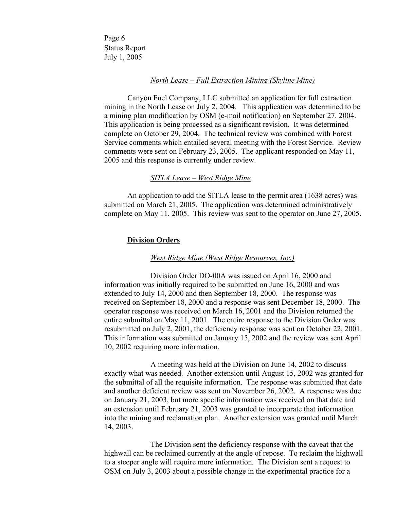Page 6 Status Report July 1, 2005

#### *North Lease – Full Extraction Mining (Skyline Mine)*

Canyon Fuel Company, LLC submitted an application for full extraction mining in the North Lease on July 2, 2004. This application was determined to be a mining plan modification by OSM (e-mail notification) on September 27, 2004. This application is being processed as a significant revision. It was determined complete on October 29, 2004. The technical review was combined with Forest Service comments which entailed several meeting with the Forest Service. Review comments were sent on February 23, 2005. The applicant responded on May 11, 2005 and this response is currently under review.

### *SITLA Lease – West Ridge Mine*

An application to add the SITLA lease to the permit area (1638 acres) was submitted on March 21, 2005. The application was determined administratively complete on May 11, 2005. This review was sent to the operator on June 27, 2005.

#### **Division Orders**

### *West Ridge Mine (West Ridge Resources, Inc.)*

 Division Order DO-00A was issued on April 16, 2000 and information was initially required to be submitted on June 16, 2000 and was extended to July 14, 2000 and then September 18, 2000. The response was received on September 18, 2000 and a response was sent December 18, 2000. The operator response was received on March 16, 2001 and the Division returned the entire submittal on May 11, 2001. The entire response to the Division Order was resubmitted on July 2, 2001, the deficiency response was sent on October 22, 2001. This information was submitted on January 15, 2002 and the review was sent April 10, 2002 requiring more information.

 A meeting was held at the Division on June 14, 2002 to discuss exactly what was needed. Another extension until August 15, 2002 was granted for the submittal of all the requisite information. The response was submitted that date and another deficient review was sent on November 26, 2002. A response was due on January 21, 2003, but more specific information was received on that date and an extension until February 21, 2003 was granted to incorporate that information into the mining and reclamation plan. Another extension was granted until March 14, 2003.

 The Division sent the deficiency response with the caveat that the highwall can be reclaimed currently at the angle of repose. To reclaim the highwall to a steeper angle will require more information. The Division sent a request to OSM on July 3, 2003 about a possible change in the experimental practice for a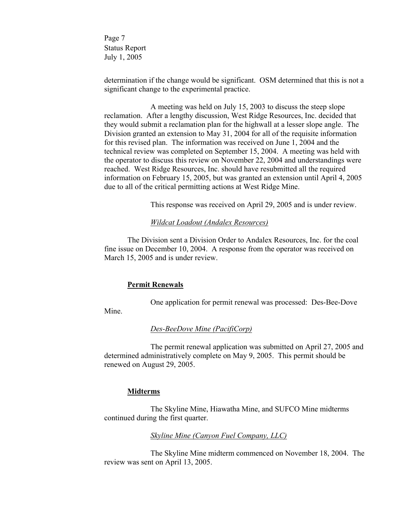Page 7 Status Report July 1, 2005

determination if the change would be significant. OSM determined that this is not a significant change to the experimental practice.

 A meeting was held on July 15, 2003 to discuss the steep slope reclamation. After a lengthy discussion, West Ridge Resources, Inc. decided that they would submit a reclamation plan for the highwall at a lesser slope angle. The Division granted an extension to May 31, 2004 for all of the requisite information for this revised plan. The information was received on June 1, 2004 and the technical review was completed on September 15, 2004. A meeting was held with the operator to discuss this review on November 22, 2004 and understandings were reached. West Ridge Resources, Inc. should have resubmitted all the required information on February 15, 2005, but was granted an extension until April 4, 2005 due to all of the critical permitting actions at West Ridge Mine.

This response was received on April 29, 2005 and is under review.

### *Wildcat Loadout (Andalex Resources)*

The Division sent a Division Order to Andalex Resources, Inc. for the coal fine issue on December 10, 2004. A response from the operator was received on March 15, 2005 and is under review.

### **Permit Renewals**

One application for permit renewal was processed: Des-Bee-Dove

Mine.

### *Des-BeeDove Mine (PacifiCorp)*

The permit renewal application was submitted on April 27, 2005 and determined administratively complete on May 9, 2005. This permit should be renewed on August 29, 2005.

# **Midterms**

 The Skyline Mine, Hiawatha Mine, and SUFCO Mine midterms continued during the first quarter.

### *Skyline Mine (Canyon Fuel Company, LLC)*

 The Skyline Mine midterm commenced on November 18, 2004. The review was sent on April 13, 2005.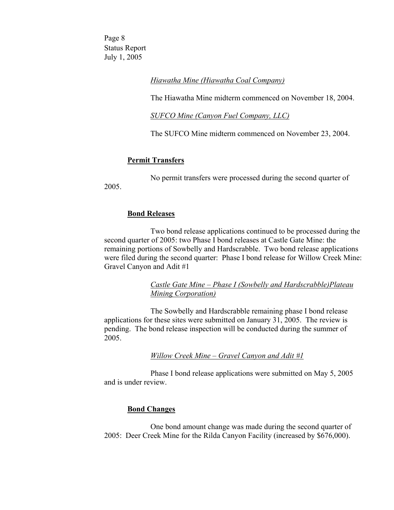Page 8 Status Report July 1, 2005

# *Hiawatha Mine (Hiawatha Coal Company)*

The Hiawatha Mine midterm commenced on November 18, 2004.

*SUFCO Mine (Canyon Fuel Company, LLC)*

The SUFCO Mine midterm commenced on November 23, 2004.

# **Permit Transfers**

No permit transfers were processed during the second quarter of

2005.

### **Bond Releases**

 Two bond release applications continued to be processed during the second quarter of 2005: two Phase I bond releases at Castle Gate Mine: the remaining portions of Sowbelly and Hardscrabble. Two bond release applications were filed during the second quarter: Phase I bond release for Willow Creek Mine: Gravel Canyon and Adit #1

# *Castle Gate Mine – Phase I (Sowbelly and Hardscrabble)Plateau Mining Corporation)*

 The Sowbelly and Hardscrabble remaining phase I bond release applications for these sites were submitted on January 31, 2005. The review is pending. The bond release inspection will be conducted during the summer of 2005.

# *Willow Creek Mine – Gravel Canyon and Adit #1*

 Phase I bond release applications were submitted on May 5, 2005 and is under review.

# **Bond Changes**

 One bond amount change was made during the second quarter of 2005: Deer Creek Mine for the Rilda Canyon Facility (increased by \$676,000).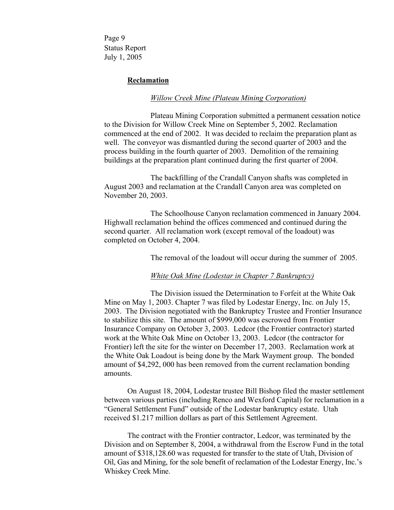Page 9 Status Report July 1, 2005

### **Reclamation**

#### *Willow Creek Mine (Plateau Mining Corporation)*

 Plateau Mining Corporation submitted a permanent cessation notice to the Division for Willow Creek Mine on September 5, 2002. Reclamation commenced at the end of 2002. It was decided to reclaim the preparation plant as well. The conveyor was dismantled during the second quarter of 2003 and the process building in the fourth quarter of 2003. Demolition of the remaining buildings at the preparation plant continued during the first quarter of 2004.

 The backfilling of the Crandall Canyon shafts was completed in August 2003 and reclamation at the Crandall Canyon area was completed on November 20, 2003.

The Schoolhouse Canyon reclamation commenced in January 2004. Highwall reclamation behind the offices commenced and continued during the second quarter. All reclamation work (except removal of the loadout) was completed on October 4, 2004.

The removal of the loadout will occur during the summer of 2005.

# *White Oak Mine (Lodestar in Chapter 7 Bankruptcy)*

 The Division issued the Determination to Forfeit at the White Oak Mine on May 1, 2003. Chapter 7 was filed by Lodestar Energy, Inc. on July 15, 2003. The Division negotiated with the Bankruptcy Trustee and Frontier Insurance to stabilize this site. The amount of \$999,000 was escrowed from Frontier Insurance Company on October 3, 2003. Ledcor (the Frontier contractor) started work at the White Oak Mine on October 13, 2003. Ledcor (the contractor for Frontier) left the site for the winter on December 17, 2003. Reclamation work at the White Oak Loadout is being done by the Mark Wayment group. The bonded amount of \$4,292, 000 has been removed from the current reclamation bonding amounts.

On August 18, 2004, Lodestar trustee Bill Bishop filed the master settlement between various parties (including Renco and Wexford Capital) for reclamation in a "General Settlement Fund" outside of the Lodestar bankruptcy estate. Utah received \$1.217 million dollars as part of this Settlement Agreement.

 The contract with the Frontier contractor, Ledcor, was terminated by the Division and on September 8, 2004, a withdrawal from the Escrow Fund in the total amount of \$318,128.60 was requested for transfer to the state of Utah, Division of Oil, Gas and Mining, for the sole benefit of reclamation of the Lodestar Energy, Inc.'s Whiskey Creek Mine.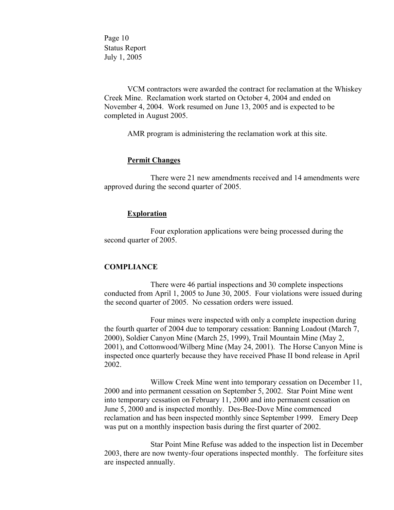Page 10 Status Report July 1, 2005

VCM contractors were awarded the contract for reclamation at the Whiskey Creek Mine. Reclamation work started on October 4, 2004 and ended on November 4, 2004. Work resumed on June 13, 2005 and is expected to be completed in August 2005.

AMR program is administering the reclamation work at this site.

# **Permit Changes**

 There were 21 new amendments received and 14 amendments were approved during the second quarter of 2005.

### **Exploration**

 Four exploration applications were being processed during the second quarter of 2005.

### **COMPLIANCE**

 There were 46 partial inspections and 30 complete inspections conducted from April 1, 2005 to June 30, 2005. Four violations were issued during the second quarter of 2005. No cessation orders were issued.

 Four mines were inspected with only a complete inspection during the fourth quarter of 2004 due to temporary cessation: Banning Loadout (March 7, 2000), Soldier Canyon Mine (March 25, 1999), Trail Mountain Mine (May 2, 2001), and Cottonwood/Wilberg Mine (May 24, 2001). The Horse Canyon Mine is inspected once quarterly because they have received Phase II bond release in April 2002.

 Willow Creek Mine went into temporary cessation on December 11, 2000 and into permanent cessation on September 5, 2002. Star Point Mine went into temporary cessation on February 11, 2000 and into permanent cessation on June 5, 2000 and is inspected monthly. Des-Bee-Dove Mine commenced reclamation and has been inspected monthly since September 1999. Emery Deep was put on a monthly inspection basis during the first quarter of 2002.

 Star Point Mine Refuse was added to the inspection list in December 2003, there are now twenty-four operations inspected monthly. The forfeiture sites are inspected annually.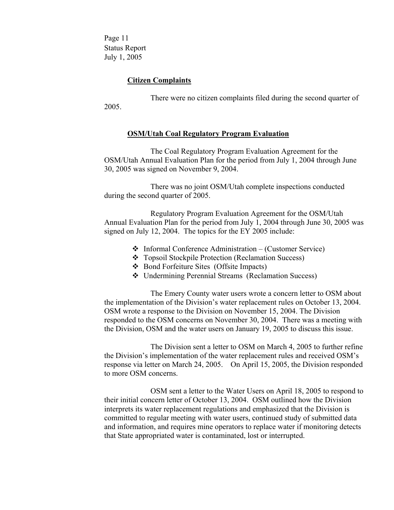Page 11 Status Report July 1, 2005

# **Citizen Complaints**

 There were no citizen complaints filed during the second quarter of 2005.

### **OSM/Utah Coal Regulatory Program Evaluation**

The Coal Regulatory Program Evaluation Agreement for the OSM/Utah Annual Evaluation Plan for the period from July 1, 2004 through June 30, 2005 was signed on November 9, 2004.

 There was no joint OSM/Utah complete inspections conducted during the second quarter of 2005.

Regulatory Program Evaluation Agreement for the OSM/Utah Annual Evaluation Plan for the period from July 1, 2004 through June 30, 2005 was signed on July 12, 2004. The topics for the EY 2005 include:

- $\triangleleft$  Informal Conference Administration (Customer Service)
- Topsoil Stockpile Protection (Reclamation Success)
- ❖ Bond Forfeiture Sites (Offsite Impacts)
- Undermining Perennial Streams (Reclamation Success)

 The Emery County water users wrote a concern letter to OSM about the implementation of the Division's water replacement rules on October 13, 2004. OSM wrote a response to the Division on November 15, 2004. The Division responded to the OSM concerns on November 30, 2004. There was a meeting with the Division, OSM and the water users on January 19, 2005 to discuss this issue.

 The Division sent a letter to OSM on March 4, 2005 to further refine the Division's implementation of the water replacement rules and received OSM's response via letter on March 24, 2005. On April 15, 2005, the Division responded to more OSM concerns.

 OSM sent a letter to the Water Users on April 18, 2005 to respond to their initial concern letter of October 13, 2004. OSM outlined how the Division interprets its water replacement regulations and emphasized that the Division is committed to regular meeting with water users, continued study of submitted data and information, and requires mine operators to replace water if monitoring detects that State appropriated water is contaminated, lost or interrupted.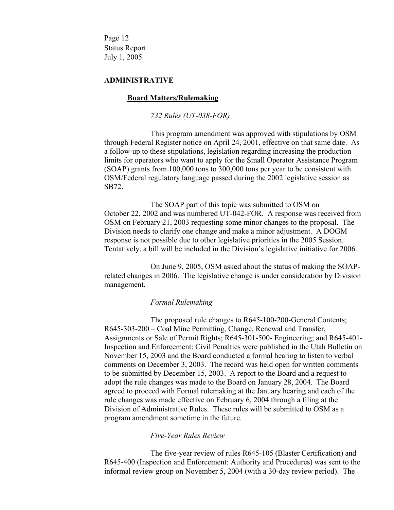Page 12 Status Report July 1, 2005

### **ADMINISTRATIVE**

#### **Board Matters/Rulemaking**

#### *732 Rules (UT-038-FOR)*

 This program amendment was approved with stipulations by OSM through Federal Register notice on April 24, 2001, effective on that same date. As a follow-up to these stipulations, legislation regarding increasing the production limits for operators who want to apply for the Small Operator Assistance Program (SOAP) grants from 100,000 tons to 300,000 tons per year to be consistent with OSM/Federal regulatory language passed during the 2002 legislative session as SB72.

 The SOAP part of this topic was submitted to OSM on October 22, 2002 and was numbered UT-042-FOR. A response was received from OSM on February 21, 2003 requesting some minor changes to the proposal. The Division needs to clarify one change and make a minor adjustment. A DOGM response is not possible due to other legislative priorities in the 2005 Session. Tentatively, a bill will be included in the Division's legislative initiative for 2006.

 On June 9, 2005, OSM asked about the status of making the SOAPrelated changes in 2006. The legislative change is under consideration by Division management.

### *Formal Rulemaking*

 The proposed rule changes to R645-100-200-General Contents; R645-303-200 – Coal Mine Permitting, Change, Renewal and Transfer, Assignments or Sale of Permit Rights; R645-301-500- Engineering; and R645-401- Inspection and Enforcement: Civil Penalties were published in the Utah Bulletin on November 15, 2003 and the Board conducted a formal hearing to listen to verbal comments on December 3, 2003. The record was held open for written comments to be submitted by December 15, 2003. A report to the Board and a request to adopt the rule changes was made to the Board on January 28, 2004. The Board agreed to proceed with Formal rulemaking at the January hearing and each of the rule changes was made effective on February 6, 2004 through a filing at the Division of Administrative Rules. These rules will be submitted to OSM as a program amendment sometime in the future.

### *Five-Year Rules Review*

 The five-year review of rules R645-105 (Blaster Certification) and R645-400 (Inspection and Enforcement: Authority and Procedures) was sent to the informal review group on November 5, 2004 (with a 30-day review period). The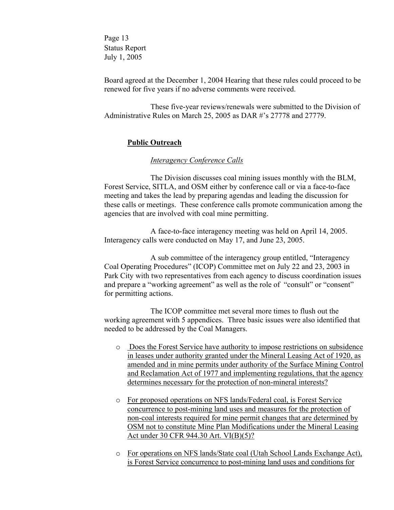Page 13 Status Report July 1, 2005

Board agreed at the December 1, 2004 Hearing that these rules could proceed to be renewed for five years if no adverse comments were received.

 These five-year reviews/renewals were submitted to the Division of Administrative Rules on March 25, 2005 as DAR #'s 27778 and 27779.

# **Public Outreach**

### *Interagency Conference Calls*

 The Division discusses coal mining issues monthly with the BLM, Forest Service, SITLA, and OSM either by conference call or via a face-to-face meeting and takes the lead by preparing agendas and leading the discussion for these calls or meetings. These conference calls promote communication among the agencies that are involved with coal mine permitting.

 A face-to-face interagency meeting was held on April 14, 2005. Interagency calls were conducted on May 17, and June 23, 2005.

 A sub committee of the interagency group entitled, "Interagency Coal Operating Procedures" (ICOP) Committee met on July 22 and 23, 2003 in Park City with two representatives from each agency to discuss coordination issues and prepare a "working agreement" as well as the role of "consult" or "consent" for permitting actions.

 The ICOP committee met several more times to flush out the working agreement with 5 appendices. Three basic issues were also identified that needed to be addressed by the Coal Managers.

- o Does the Forest Service have authority to impose restrictions on subsidence in leases under authority granted under the Mineral Leasing Act of 1920, as amended and in mine permits under authority of the Surface Mining Control and Reclamation Act of 1977 and implementing regulations, that the agency determines necessary for the protection of non-mineral interests?
- o For proposed operations on NFS lands/Federal coal, is Forest Service concurrence to post-mining land uses and measures for the protection of non-coal interests required for mine permit changes that are determined by OSM not to constitute Mine Plan Modifications under the Mineral Leasing Act under 30 CFR 944.30 Art. VI(B)(5)?
- o For operations on NFS lands/State coal (Utah School Lands Exchange Act), is Forest Service concurrence to post-mining land uses and conditions for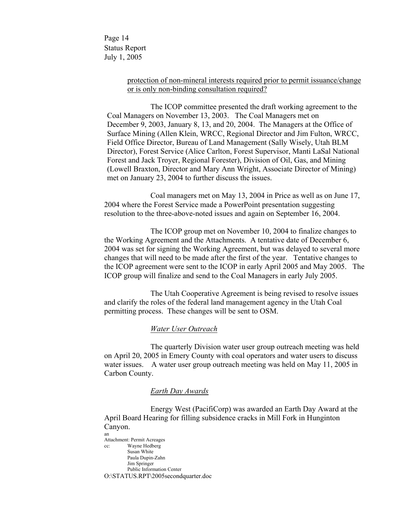Page 14 Status Report July 1, 2005

# protection of non-mineral interests required prior to permit issuance/change or is only non-binding consultation required?

The ICOP committee presented the draft working agreement to the Coal Managers on November 13, 2003. The Coal Managers met on December 9, 2003, January 8, 13, and 20, 2004. The Managers at the Office of Surface Mining (Allen Klein, WRCC, Regional Director and Jim Fulton, WRCC, Field Office Director, Bureau of Land Management (Sally Wisely, Utah BLM Director), Forest Service (Alice Carlton, Forest Supervisor, Manti LaSal National Forest and Jack Troyer, Regional Forester), Division of Oil, Gas, and Mining (Lowell Braxton, Director and Mary Ann Wright, Associate Director of Mining) met on January 23, 2004 to further discuss the issues.

Coal managers met on May 13, 2004 in Price as well as on June 17, 2004 where the Forest Service made a PowerPoint presentation suggesting resolution to the three-above-noted issues and again on September 16, 2004.

 The ICOP group met on November 10, 2004 to finalize changes to the Working Agreement and the Attachments. A tentative date of December 6, 2004 was set for signing the Working Agreement, but was delayed to several more changes that will need to be made after the first of the year. Tentative changes to the ICOP agreement were sent to the ICOP in early April 2005 and May 2005. The ICOP group will finalize and send to the Coal Managers in early July 2005.

 The Utah Cooperative Agreement is being revised to resolve issues and clarify the roles of the federal land management agency in the Utah Coal permitting process. These changes will be sent to OSM.

### *Water User Outreach*

 The quarterly Division water user group outreach meeting was held on April 20, 2005 in Emery County with coal operators and water users to discuss water issues. A water user group outreach meeting was held on May 11, 2005 in Carbon County.

#### *Earth Day Awards*

 Energy West (PacifiCorp) was awarded an Earth Day Award at the April Board Hearing for filling subsidence cracks in Mill Fork in Hunginton Canyon. an

Attachment: Permit Acreages cc: Wayne Hedberg Susan White Paula Dupin-Zahn Jim Springer Public Information Center O:\STATUS.RPT\2005secondquarter.doc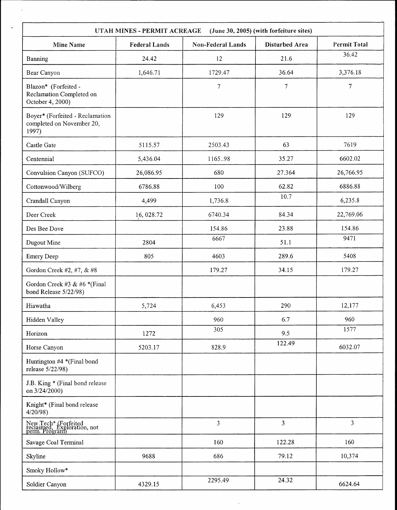| UTAH MINES - PERMIT ACREAGE<br>(June 30, 2005) (with forfeiture sites) |                      |                          |                |                     |  |  |
|------------------------------------------------------------------------|----------------------|--------------------------|----------------|---------------------|--|--|
| <b>Mine Name</b>                                                       | <b>Federal Lands</b> | <b>Non-Federal Lands</b> | Disturbed Area | <b>Permit Total</b> |  |  |
| Banning                                                                | 24.42                | 12                       | 21.6           | 36.42               |  |  |
| Bear Canyon                                                            | 1,646.71             | 1729.47                  | 36.64          | 3,376.18            |  |  |
| Blazon* (Forfeited -<br>Reclamation Completed on<br>October 4, 2000)   |                      | $\overline{7}$           | $\overline{7}$ | $\overline{7}$      |  |  |
| Boyer* (Forfeited - Reclamation<br>completed on November 20,<br>1997)  |                      | 129                      | 129            | 129                 |  |  |
| Castle Gate                                                            | 5115.57              | 2503.43                  | 63             | 7619                |  |  |
| Centennial                                                             | 5,436.04             | 1165.98                  | 35.27          | 6602.02             |  |  |
| Convulsion Canyon (SUFCO)                                              | 26,086.95            | 680                      | 27.364         | 26,766.95           |  |  |
| Cottonwood/Wilberg                                                     | 6786.88              | 100                      | 62.82          | 6886.88             |  |  |
| Crandall Canyon                                                        | 4,499                | 1,736.8                  | 10.7           | 6,235.8             |  |  |
| Deer Creek                                                             | 16, 028.72           | 6740.34                  | 84.34          | 22,769.06           |  |  |
| Des Bee Dove                                                           |                      | 154.86                   | 23.88          | 154.86              |  |  |
| Dugout Mine                                                            | 2804                 | 6667                     | 51.1           | 9471                |  |  |
| <b>Emery Deep</b>                                                      | 805                  | 4603                     | 289.6          | 5408                |  |  |
| Gordon Creek #2, #7, & #8                                              |                      | 179.27                   | 34.15          | 179.27              |  |  |
| Gordon Creek #3 & #6 *(Final<br>bond Release 5/22/98)                  |                      |                          |                |                     |  |  |
| Hiawatha                                                               | 5,724                | 6,453                    | 290            | 12,177              |  |  |
| Hidden Valley                                                          |                      | 960                      | 6.7            | 960                 |  |  |
| Horizon                                                                | 1272                 | 305                      | 9.5            | 1577                |  |  |
| Horse Canyon                                                           | 5203.17              | 828.9                    | 122.49         | 6032.07             |  |  |
| Huntington #4 *(Final bond<br>release 5/22/98)                         |                      |                          |                |                     |  |  |
| J.B. King * (Final bond release<br>on 3/24/2000)                       |                      |                          |                |                     |  |  |
| Knight* (Final bond release<br>4/20/98                                 |                      |                          |                |                     |  |  |
| New Tech* (Forfeited<br>reclaimed, Exploration, not<br>perm. Program)  |                      | $\overline{3}$           | $\overline{3}$ | $\overline{3}$      |  |  |
| Savage Coal Terminal                                                   |                      | 160                      | 122.28         | 160                 |  |  |
| Skyline                                                                | 9688                 | 686                      | 79.12          | 10,374              |  |  |
| Smoky Hollow*                                                          |                      |                          |                |                     |  |  |
| Soldier Canyon                                                         | 4329.15              | 2295.49                  | 24.32          | 6624.64             |  |  |

 $\sim$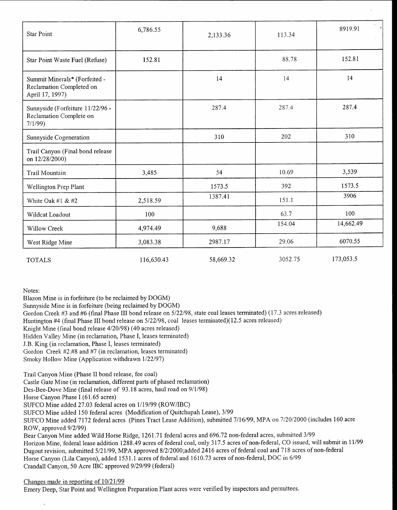| <b>Star Point</b>                                                            | 6,786.55   | 2,133.36  | 113.34  | 8919.91   |
|------------------------------------------------------------------------------|------------|-----------|---------|-----------|
| Star Point Waste Fuel (Refuse)                                               | 152.81     |           | 88.78   | 152.81    |
| Summit Minerals* (Forfeited -<br>Reclamation Completed on<br>April 17, 1997) |            | 14        | 14      | 14        |
| Sunnyside (Forfeiture 11/22/96 -<br>Reclamation Complete on<br>7/1/99        |            | 287.4     | 287.4   | 287.4     |
| Sunnyside Cogeneration                                                       |            | 310       | 202     | 310       |
| Trail Canyon (Final bond release<br>on 12/28/2000)                           |            |           |         |           |
| Trail Mountain                                                               | 3,485      | 54        | 10.69   | 3,539     |
| Wellington Prep Plant                                                        |            | 1573.5    | 392     | 1573.5    |
| White Oak #1 & #2                                                            | 2,518.59   | 1387.41   | 151.1   | 3906      |
| Wildcat Loadout                                                              | 100        |           | 63.7    | 100       |
| Willow Creek                                                                 | 4,974.49   | 9,688     | 154.04  | 14,662.49 |
| West Ridge Mine                                                              | 3,083.38   | 2987.17   | 29.06   | 6070.55   |
| <b>TOTALS</b>                                                                | 116,630.43 | 58,669.32 | 3052.75 | 173,053.5 |

Notes:

Blazon Mine is in forfeiture (to be reclaimed by DOGM)

Sunnyside Mine is in forfeiture (being reclaimed by DOGM)

Gordon Creek #3 and #6 (final Phase III bond release on 5/22/98, state coal leases terminated) (17 .3 acres released)

Huntington #4 (final Phase III bond release on 5/22/98, coal leases terminated)(12 .5 acres released)

Knight Mine (final bond release 4/20/98) (40 acres released)

Hidden Valley Mine (in reclamation, Phase I, leases terminated)

J.B. King (in reclamation, Phase I, leases terminated)

Gordon Creek #2.#8 and #7 (in reclamation, leases terminated)

Smoky Hollow Mine (Application withdrawn 1/22/97)

Trail Canyon Mine (Phase II bond release, fee coal)

Castle Gate Mine (in reclamation, different parts of phased reclamation)

Des-Bee-Dove Mine (final release of 93 .18 acres, haul road on 9/1/98)

Horse Canyon Phase I (61.65 acres)

SUFCO Mine added 27 .03 federal acres on 1/19/99 (ROW/IBC)

SUFCO Mine added 150 federal acres (Modification of Quitchupah Lease), 3/99

SUFCO Mine added 7172 federal acres (Pines Tract Lease Addition), submitted 7/16/99, MPA on 7/20/2000 (includes 160 acre ROW, approved 9/2/99)

Bear Canyon Mine added Wild Horse Ridge, 1261 .71 federal acres and 696 .72 non-federal acres, submitted 3/99 Horizon Mine, federal lease addition 1288 .49 acres of federal coal, only 317 .5 acres of non-federal, CO issued, will submit in 11/99 Dugout revision, submitted 5/21/99, MPA approved 8/2/2000 ;added 2416 acres of federal coal and 718 acres of non-federal Horse Canyon (Lila Canyon), added 1531 .1 acres of federal and 1610 .73 acres of non-federal, DOC in 6/99 Crandall Canyon, 50 Acre IBC approved 9/29/99 (federal)

#### Changes made in reporting of 10/21/99

 $\epsilon$ 

Emery Deep, Star Point and Wellington Preparation Plant acres were verified by inspectors and permittees .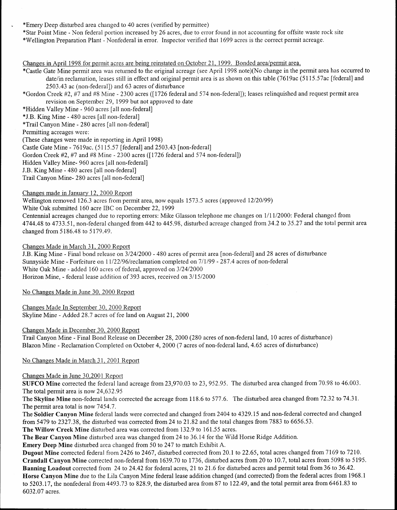\*Emery Deep disturbed area changed to 40 acres (verified by permittee)

\*Star Point Mine - Non federal portion increased by 26 acres, due to error found in not accounting for offsite waste rock site \*Wellington Preparation Plant - Nonfederal in error . Inspector verified that 1699 acres is the correct permit acreage .

Changes in April 1998 for permit acres are being reinstated on October 21, 1999 . Bonded area/permit area. \*Castle Gate Mine permit area was returned to the original acreage (see April 1998 note)(No change in the permit area has occurred to date/in reclamation, leases still in effect and original permit area is as shown on this table (7619ac (5115 .57ac [federal] and 2503 .43 ac (non-federal]) and 63 acres of disturbance

\*Gordon Creek #2, #7 and #8 Mine - 2300 acres ([1726 federal and 574 non-federal]) ; leases relinquished and request permit area revision on September 29, 1999 but not approved to date

\*Hidden Valley Mine - 960 acres [all non-federal]

\*J .B . King Mine - 480 acres [all non-federal]

\*Trail Canyon Mine - 280 acres [all non-federal]

Permitting acreages were:

(These changes were made in reporting in April 1998)

Castle Gate Mine - 7619ac . (5115 .57 [federal] and 2503 .43 [non-federal]

Gordon Creek #2, #7 and #8 Mine - 2300 acres ([1726 federal and 574 non-federal])

Hidden Valley Mine- 960 acres [all non-federal]

J.B. King Mine - 480 acres [all non-federal]

Trail Canyon Mine- 280 acres [all non-federal]

#### Changes made in January 12, 2000 Report

Wellington removed 126.3 acres from permit area, now equals 1573.5 acres (approved 12/20/99) White Oak submitted 160 acre IBC on December 22, 1999

Centennial acreages changed due to reporting errors: Mike Glasson telephone me changes on 1/11/2000: Federal changed from 4744.48 to 4733 .51, non-federal changed from 442 to 445 .98, disturbed acreage changed from 34 .2 to 35 .27 and the total permit area changed from 5186 .48 to 5179 .49 .

Changes Made in March 31, 2000 Report

<sup>J</sup> .B . King Mine - Final bond release on 3/24/2000 - 480 acres of permit area [non-federal] and 28 acres of disturbance Sunnyside Mine - Forfeiture on 11/22/96/reclamation completed on 7/1/99 - 287 .4 acres of non-federal White Oak Mine - added 160 acres of federal, approved on 3/24/2000 Horizon Mine, - federal lease addition of 393 acres, received on 3/15/2000

No Changes Made in June 30, 2000 Report

Changes Made In September 30, 2000 Report Skyline Mine - Added 28 .7 acres of fee land on August 21, 2000

### Changes Made in December 30, 2000 Report

Trail Canyon Mine - Final Bond Release on December 28, 2000 (280 acres of non-federal land, 10 acres of disturbance) Blazon Mine - Reclamation Completed on October 4, 2000 (7 acres of non-federal land, 4 .65 acres of disturbance)

No Changes Made in March 31, 2001 Report

No Changes Made in March 31, 2001 Report<br>Changes Made in June 30,2001 Report<br>SUFCO Mine corrected the federal land acreage from 23,970.03 to 23, 952.95. The disturbed area changed from 70.98 to 46.003. The total permit area is now 24,632 .95

The Skyline Mine non-federal lands corrected the acreage from 118.6 to 577.6. The disturbed area changed from 72.32 to 74.31. The permit area total is now 7454.7.

The Soldier Canyon Mine federal lands were corrected and changed from 2404 to 4329 .15 and non-federal corrected and changed from 5479 to 2327 .38, the disturbed was corrected from 24 to 21 .82 and the total changes from 7883 to 6656 .53 .

The Willow Creek Mine disturbed area was corrected from 132.9 to 161.55 acres.

The Bear Canyon Mine disturbed area was changed from 24 to 36.14 for the Wild Horse Ridge Addition.

**Emery Deep Mine** disturbed area changed from 50 to 247 to match Exhibit A.

Dugout Mine corrected federal from 2426 to 2467, disturbed corrected from 20.1 to 22.65, total acres changed from 7169 to 7210. Crandall Canyon Mine corrected non-federal from 1639.70 to 1736, disturbed acres from 20 to 10 .7, total acres from 5098 to 5195 . Banning Loadout corrected from 24 to 24.42 for federal acres, 21 to 21.6 for disturbed acres and permit total from 36 to 36.42. Horse Canyon Mine due to the Lila Canyon Mine federal lease addition changed (and corrected) from the federal acres from 1968.1 to 5203.17, the nonfederal from 4493.73 to 828.9, the disturbed area from 87 to 122.49, and the total permit area from 6461.83 to 6032.07 acres.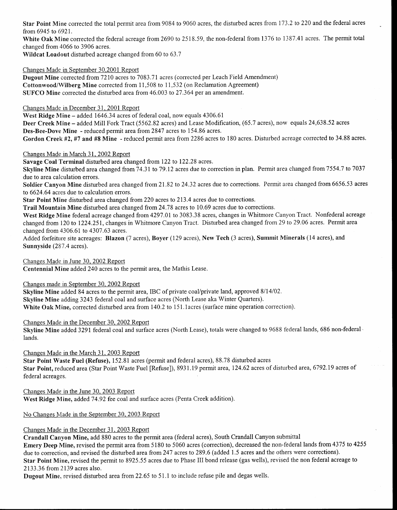Star Point Mine corrected the total permit area from 9084 to 9060 acres, the disturbed acres from 173 .2 to 220 and the federal acres from 6945 to 6921.

White Oak Mine corrected the federal acreage from 2690 to 2518.59, the non-federal from 1376 to 1387.41 acres. The permit total changed from 4066 to 3906 acres .

Wildcat Load out disturbed acreage changed from 60 to 63.7

Changes Made in September 30,2001 Report

Dugout Mine corrected from 7210 acres to 7083 .71 acres (corrected per Leach Field Amendment) Cottonwood/Wilberg Mine corrected from 11,508 to 11,532 (on Reclamation Agreement) SUFCO Mine corrected the disturbed area from 46.003 to 27.364 per an amendment.

Changes Made in December 31, 2001 Report

West Ridge Mine - added 1646.34 acres of federal coal, now equals 4306.61

Deer Creek Mine - added Mill Fork Tract (5562.82 acres) and Lease Modification, (65.7 acres), now equals 24,638.52 acres Des-Bee-Dove Mine - reduced permit area from 2847 acres to 154 .86 acres .

Gordon Creek #2, #7 and #8 Mine - reduced permit area from 2286 acres to 180 acres. Disturbed acreage corrected to 34 .88 acres .

Changes Made in March 31, 2002 Report

Savage Coal Terminal disturbed area changed from 122 to 122 .28 acres .

Skyline Mine disturbed area changed from 74.31 to 79.12 acres due to correction in plan. Permit area changed from 7554.7 to 7037 due to area calculation errors.

Soldier Canyon Mine disturbed area changed from 21.82 to 24.32 acres due to corrections. Permit area changed from 6656.53 acres to 6624.64 acres due to calculation errors.

Star Point Mine disturbed area changed from 220 acres to 213 .4 acres due to corrections .

Trail Mountain Mine disturbed area changed from 24 .78 acres to 10 .69 acres due to corrections .

West Ridge Mine federal acreage changed from 4297.01 to 3083.38 acres, changes in Whitmore Canyon Tract. Nonfederal acreage changed from 120 to 1224 .25 1, changes in Whitmore Canyon Tract. Disturbed area changed from 29 to 29 .06 acres . Permit area changed from 4306 .61 to 4307 .63 acres .

Added forfeiture site acreages: Blazon (7 acres), Boyer (129 acres), New Tech (3 acres), Summit Minerals (14 acres), and Sunnyside (287.4 acres).

Changes Made in June 30, 2002 Report

Centennial Mine added 240 acres to the permit area, the Mathis Lease .

Changes made in September 30, 2002 Report

Skyline Mine added 84 acres to the permit area, IBC of private coal/private land, approved 8/14/02 . Skyline Mine adding 3243 federal coal and surface acres (North Lease aka Winter Quarters) . White Oak Mine, corrected disturbed area from 140.2 to 151.1 acres (surface mine operation correction).

Changes Made in the December 30, 2002 Report

Skyline Mine added 3291 federal coal and surface acres (North Lease), totals were changed to 9688 federal lands, 686 non-federal  $\cdot$ lands.

Changes Made in the March 31, 2003 Report

Star Point Waste Fuel (Refuse), 152.81 acres (permit and federal acres), 88 .78 disturbed acres Star Point, reduced area (Star Point Waste Fuel [Refuse]), 8931 .19 permit area, 124.62 acres of disturbed area, 6792 .19 acres of federal acreages .

Changes Made in the June 30, 2003 Report West Ridge Mine, added 74.92 fee coal and surface acres (Penta Creek addition).

No Changes Made in the September 30, 2003 Report

Changes Made in the December 31, 2003 Report

Crandall Canyon Mine, add 880 acres to the permit area (federal acres), South Crandall Canyon submittal Emery Deep Mine, revised the permit area from 5180 to 5060 acres (correction), decreased the non-federal lands from 4375 to 4255 due to correction, and revised the disturbed area from 247 acres to 289.6 (added 1.5 acres and the others were corrections). Star Point Mine, revised the permit to 8925 .55 acres due to Phase III bond release (gas wells), revised the non federal acreage to 2133.36 from 2139 acres also.

Dugout Mine, revised disturbed area from 22 .65 to 51 .1 to include refuse pile and degas wells .